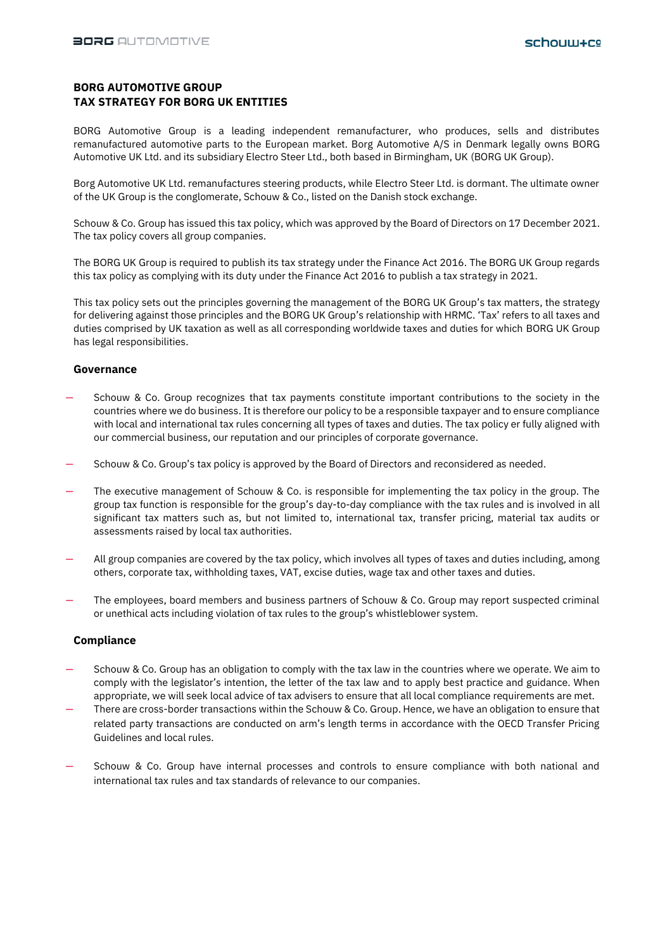# **BORG AUTOMOTIVE GROUP TAX STRATEGY FOR BORG UK ENTITIES**

BORG Automotive Group is a leading independent remanufacturer, who produces, sells and distributes remanufactured automotive parts to the European market. Borg Automotive A/S in Denmark legally owns BORG Automotive UK Ltd. and its subsidiary Electro Steer Ltd., both based in Birmingham, UK (BORG UK Group).

Borg Automotive UK Ltd. remanufactures steering products, while Electro Steer Ltd. is dormant. The ultimate owner of the UK Group is the conglomerate, Schouw & Co., listed on the Danish stock exchange.

Schouw & Co. Group has issued this tax policy, which was approved by the Board of Directors on 17 December 2021. The tax policy covers all group companies.

The BORG UK Group is required to publish its tax strategy under the Finance Act 2016. The BORG UK Group regards this tax policy as complying with its duty under the Finance Act 2016 to publish a tax strategy in 2021.

This tax policy sets out the principles governing the management of the BORG UK Group's tax matters, the strategy for delivering against those principles and the BORG UK Group's relationship with HRMC. 'Tax' refers to all taxes and duties comprised by UK taxation as well as all corresponding worldwide taxes and duties for which BORG UK Group has legal responsibilities.

#### **Governance**

- Schouw & Co. Group recognizes that tax payments constitute important contributions to the society in the countries where we do business. It is therefore our policy to be a responsible taxpayer and to ensure compliance with local and international tax rules concerning all types of taxes and duties. The tax policy er fully aligned with our commercial business, our reputation and our principles of corporate governance.
- Schouw & Co. Group's tax policy is approved by the Board of Directors and reconsidered as needed.
- The executive management of Schouw & Co. is responsible for implementing the tax policy in the group. The group tax function is responsible for the group's day-to-day compliance with the tax rules and is involved in all significant tax matters such as, but not limited to, international tax, transfer pricing, material tax audits or assessments raised by local tax authorities.
- All group companies are covered by the tax policy, which involves all types of taxes and duties including, among others, corporate tax, withholding taxes, VAT, excise duties, wage tax and other taxes and duties.
- The employees, board members and business partners of Schouw & Co. Group may report suspected criminal or unethical acts including violation of tax rules to the group's whistleblower system.

#### **Compliance**

- Schouw & Co. Group has an obligation to comply with the tax law in the countries where we operate. We aim to comply with the legislator's intention, the letter of the tax law and to apply best practice and guidance. When appropriate, we will seek local advice of tax advisers to ensure that all local compliance requirements are met.
- There are cross-border transactions within the Schouw & Co. Group. Hence, we have an obligation to ensure that related party transactions are conducted on arm's length terms in accordance with the OECD Transfer Pricing Guidelines and local rules.
- Schouw & Co. Group have internal processes and controls to ensure compliance with both national and international tax rules and tax standards of relevance to our companies.